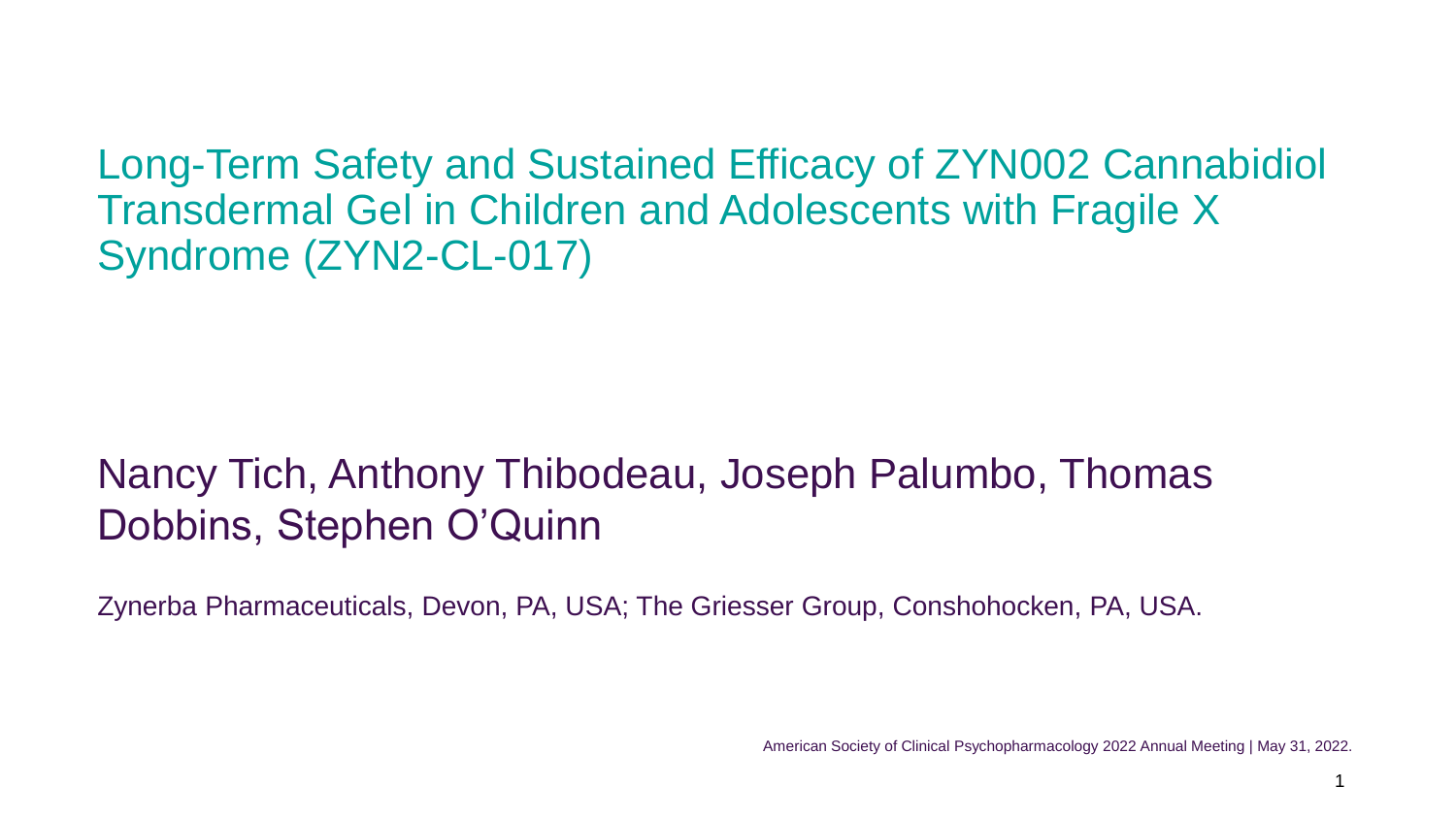Long-Term Safety and Sustained Efficacy of ZYN002 Cannabidiol Transdermal Gel in Children and Adolescents with Fragile X Syndrome (ZYN2-CL-017)

#### Nancy Tich, Anthony Thibodeau, Joseph Palumbo, Thomas Dobbins, Stephen O'Quinn

Zynerba Pharmaceuticals, Devon, PA, USA; The Griesser Group, Conshohocken, PA, USA.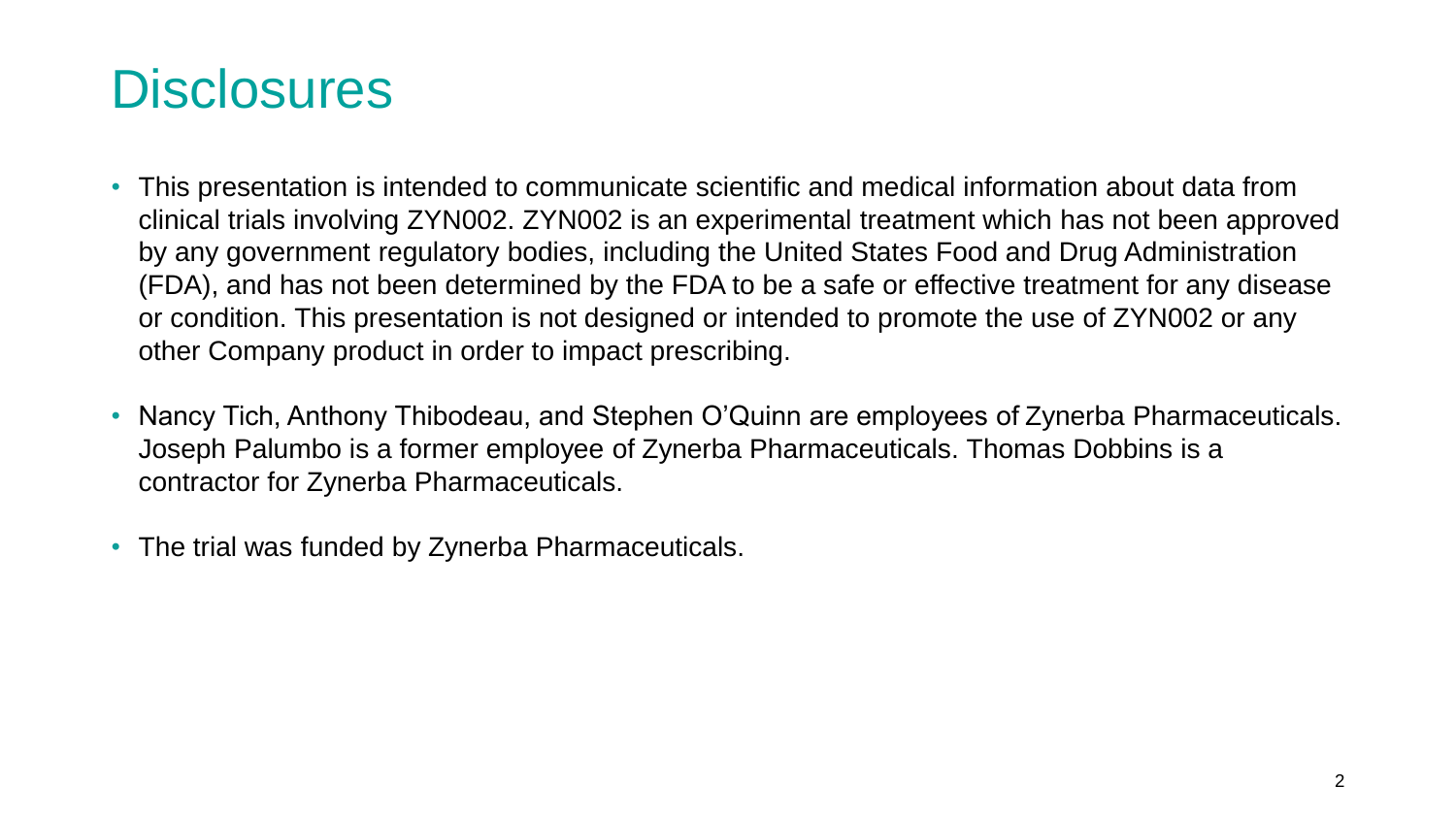#### **Disclosures**

- This presentation is intended to communicate scientific and medical information about data from clinical trials involving ZYN002. ZYN002 is an experimental treatment which has not been approved by any government regulatory bodies, including the United States Food and Drug Administration (FDA), and has not been determined by the FDA to be a safe or effective treatment for any disease or condition. This presentation is not designed or intended to promote the use of ZYN002 or any other Company product in order to impact prescribing.
- Nancy Tich, Anthony Thibodeau, and Stephen O'Quinn are employees of Zynerba Pharmaceuticals. Joseph Palumbo is a former employee of Zynerba Pharmaceuticals. Thomas Dobbins is a contractor for Zynerba Pharmaceuticals.
- The trial was funded by Zynerba Pharmaceuticals.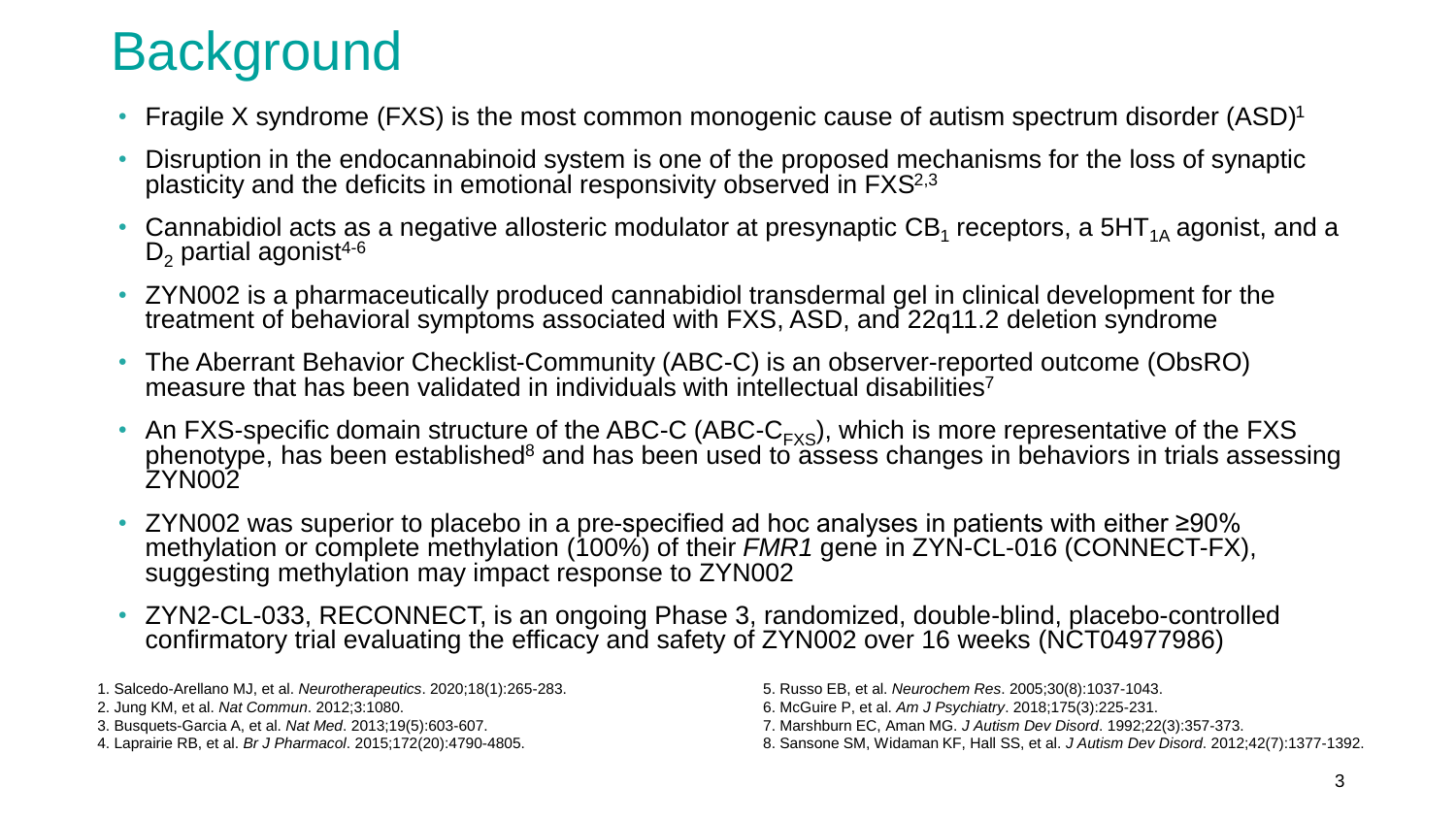## **Background**

- Fragile X syndrome (FXS) is the most common monogenic cause of autism spectrum disorder (ASD)<sup>1</sup>
- Disruption in the endocannabinoid system is one of the proposed mechanisms for the loss of synaptic plasticity and the deficits in emotional responsivity observed in FXS<sup>2,3</sup>
- Cannabidiol acts as a negative allosteric modulator at presynaptic CB<sub>1</sub> receptors, a 5HT<sub>1A</sub> agonist, and a  $D<sub>2</sub>$  partial agonist<sup>4-6</sup>
- ZYN002 is a pharmaceutically produced cannabidiol transdermal gel in clinical development for the treatment of behavioral symptoms associated with FXS, ASD, and 22q11.2 deletion syndrome
- The Aberrant Behavior Checklist-Community (ABC-C) is an observer-reported outcome (ObsRO) measure that has been validated in individuals with intellectual disabilities<sup>7</sup>
- An FXS-specific domain structure of the ABC-C (ABC- $C_{FXS}$ ), which is more representative of the FXS phenotype, has been established<sup>8</sup> and has been used to assess changes in behaviors in trials assessing ZYN002
- ZYN002 was superior to placebo in a pre-specified ad hoc analyses in patients with either ≥90% methylation or complete methylation (100%) of their *FMR1* gene in ZYN-CL-016 (CONNECT-FX), suggesting methylation may impact response to ZYN002
- ZYN2-CL-033, RECONNECT, is an ongoing Phase 3, randomized, double-blind, placebo-controlled confirmatory trial evaluating the efficacy and safety of ZYN002 over 16 weeks (NCT04977986)

- 5. Russo EB, et al. *Neurochem Res*. 2005;30(8):1037-1043.
- 6. McGuire P, et al. *Am J Psychiatry*. 2018;175(3):225-231.
- 7. Marshburn EC, Aman MG. *J Autism Dev Disord*. 1992;22(3):357-373.
- 8. Sansone SM, Widaman KF, Hall SS, et al. *J Autism Dev Disord*. 2012;42(7):1377-1392.

<sup>1.</sup> Salcedo-Arellano MJ, et al. *Neurotherapeutics*. 2020;18(1):265-283.

<sup>2.</sup> Jung KM, et al. *Nat Commun*. 2012;3:1080.

<sup>3.</sup> Busquets-Garcia A, et al. *Nat Med*. 2013;19(5):603-607.

<sup>4.</sup> Laprairie RB, et al. *Br J Pharmacol*. 2015;172(20):4790-4805.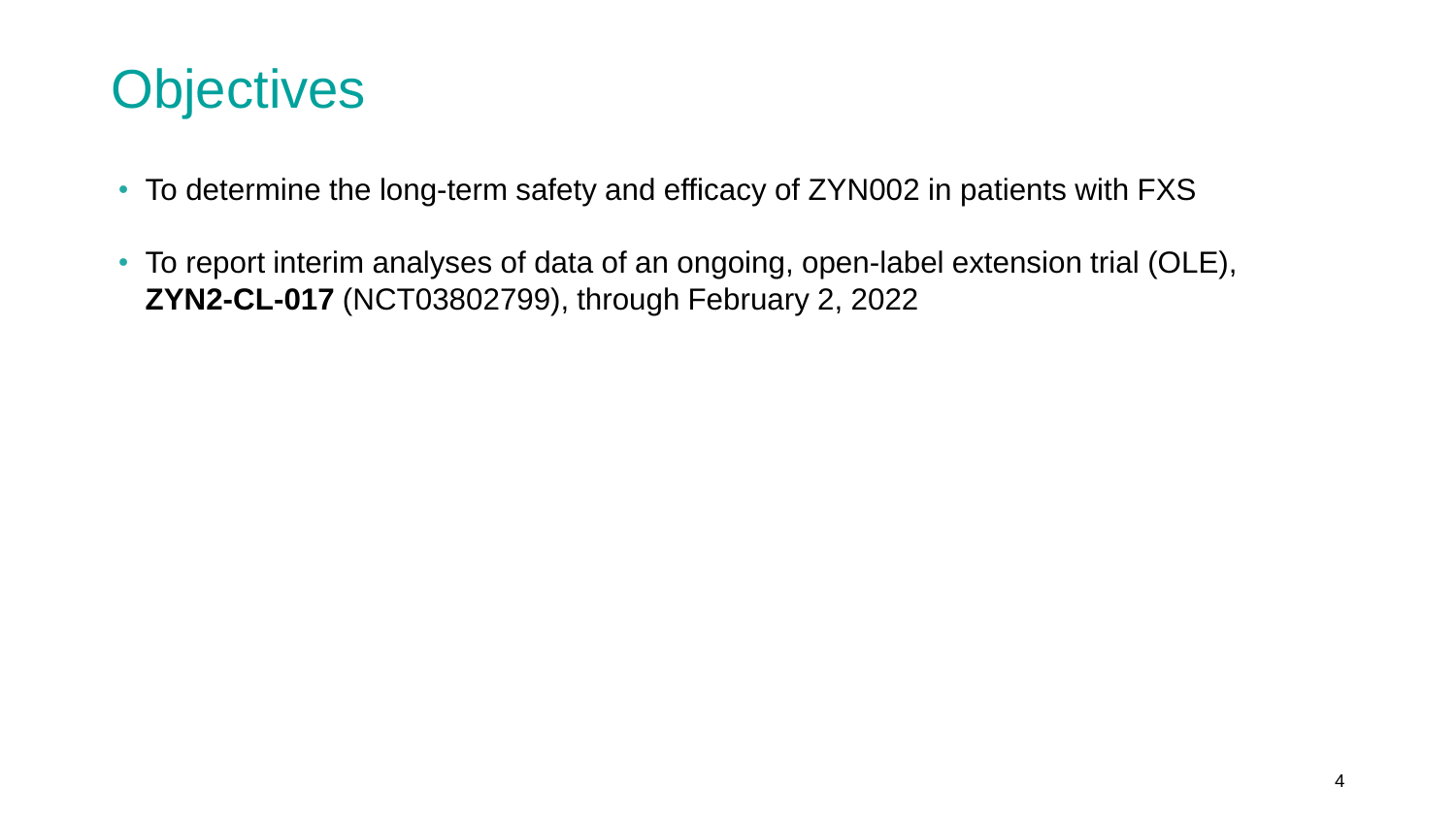

- To determine the long-term safety and efficacy of ZYN002 in patients with FXS
- To report interim analyses of data of an ongoing, open-label extension trial (OLE), **ZYN2-CL-017** (NCT03802799), through February 2, 2022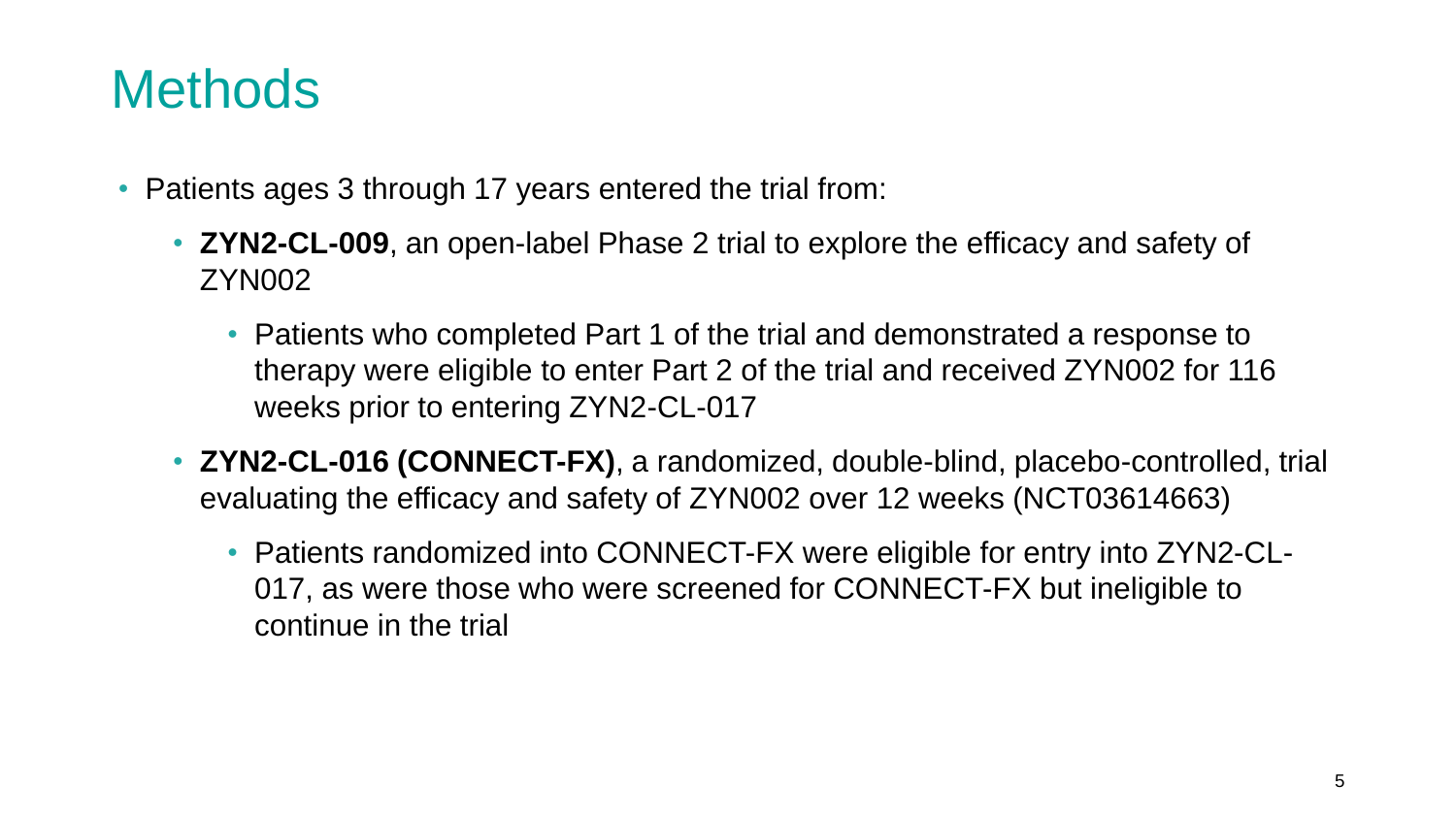#### **Methods**

- Patients ages 3 through 17 years entered the trial from:
	- **ZYN2-CL-009**, an open-label Phase 2 trial to explore the efficacy and safety of ZYN002
		- Patients who completed Part 1 of the trial and demonstrated a response to therapy were eligible to enter Part 2 of the trial and received ZYN002 for 116 weeks prior to entering ZYN2-CL-017
	- **ZYN2-CL-016 (CONNECT-FX)**, a randomized, double-blind, placebo-controlled, trial evaluating the efficacy and safety of ZYN002 over 12 weeks (NCT03614663)
		- Patients randomized into CONNECT-FX were eligible for entry into ZYN2-CL-017, as were those who were screened for CONNECT-FX but ineligible to continue in the trial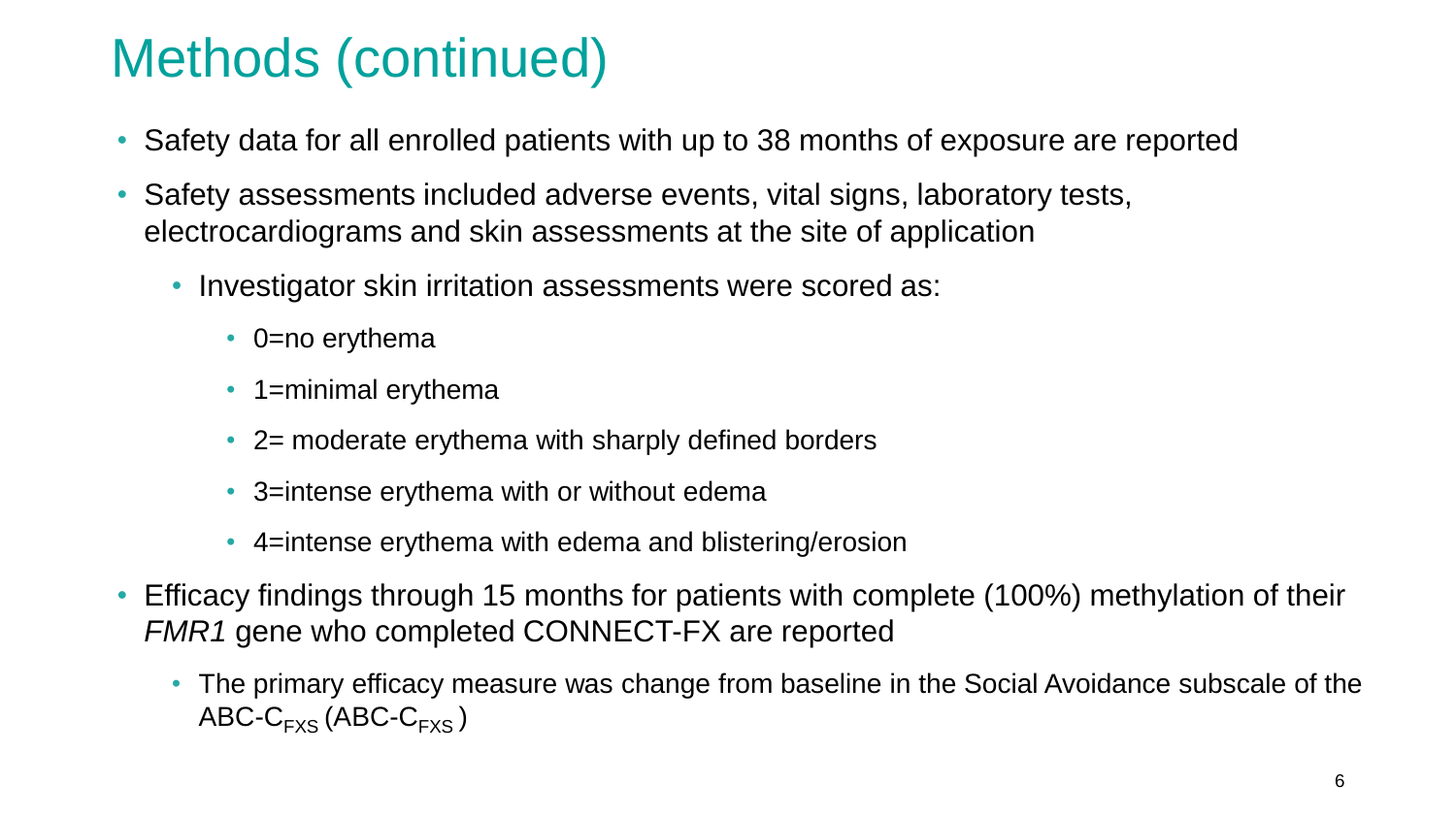### Methods (continued)

- Safety data for all enrolled patients with up to 38 months of exposure are reported
- Safety assessments included adverse events, vital signs, laboratory tests, electrocardiograms and skin assessments at the site of application
	- Investigator skin irritation assessments were scored as:
		- 0=no erythema
		- 1=minimal erythema
		- 2= moderate erythema with sharply defined borders
		- 3=intense erythema with or without edema
		- 4=intense erythema with edema and blistering/erosion
- Efficacy findings through 15 months for patients with complete (100%) methylation of their *FMR1* gene who completed CONNECT-FX are reported
	- The primary efficacy measure was change from baseline in the Social Avoidance subscale of the ABC- $C_{FXS}$  (ABC- $C_{FXS}$ )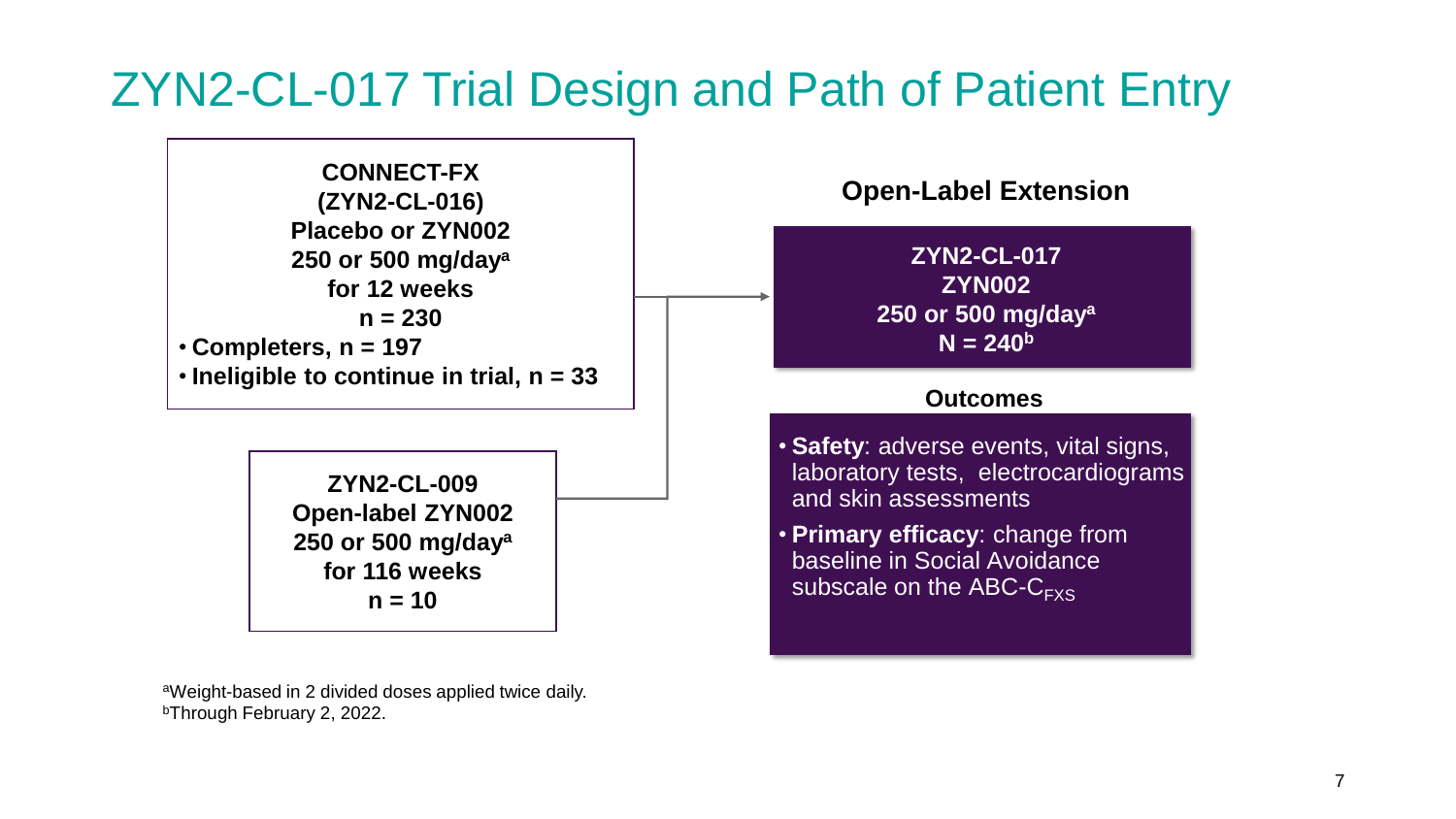#### ZYN2-CL-017 Trial Design and Path of Patient Entry

**CONNECT-FX (ZYN2-CL-016) Placebo or ZYN002 250 or 500 mg/day<sup>a</sup> for 12 weeks n = 230** • **Completers, n = 197** • **Ineligible to continue in trial, n = 33 ZYN2-CL-009**

**Open-label ZYN002 250 or 500 mg/day<sup>a</sup> for 116 weeks n = 10**

aWeight-based in 2 divided doses applied twice daily. <sup>b</sup>Through February 2, 2022.

**Open-Label Extension**

**ZYN2-CL-017 ZYN002 250 or 500 mg/day<sup>a</sup>**  $N = 240^b$ 

#### **Outcomes**

- **Safety**: adverse events, vital signs, laboratory tests, electrocardiograms and skin assessments
- **Primary efficacy**: change from baseline in Social Avoidance subscale on the ABC- $C_{FXS}$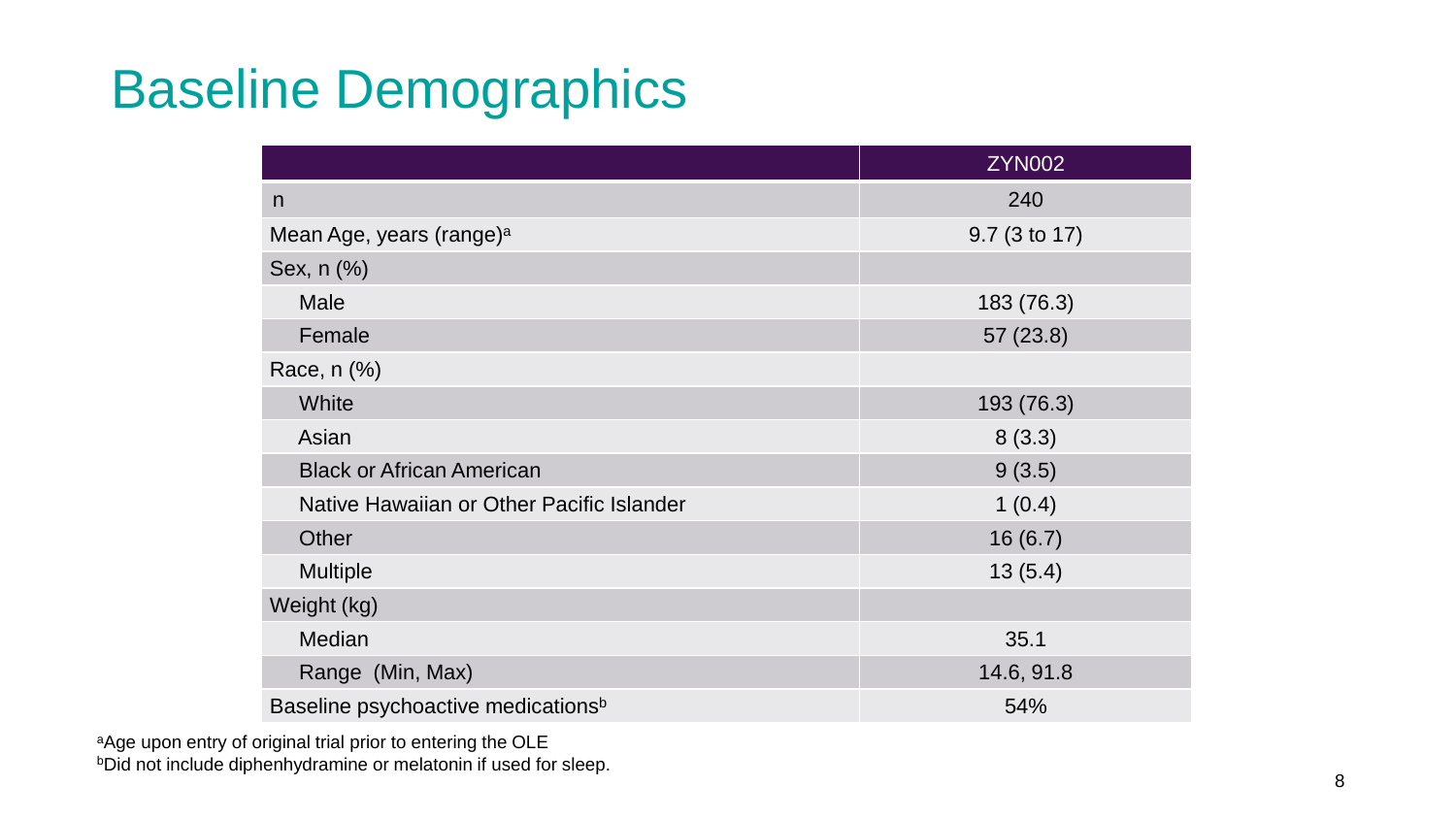### Baseline Demographics

|                                                | <b>ZYN002</b> |
|------------------------------------------------|---------------|
| n                                              | 240           |
| Mean Age, years (range) <sup>a</sup>           | 9.7 (3 to 17) |
| Sex, n (%)                                     |               |
| <b>Male</b>                                    | 183 (76.3)    |
| Female                                         | 57(23.8)      |
| Race, $n$ $%$                                  |               |
| White                                          | 193 (76.3)    |
| Asian                                          | 8(3.3)        |
| <b>Black or African American</b>               | 9(3.5)        |
| Native Hawaiian or Other Pacific Islander      | 1(0.4)        |
| <b>Other</b>                                   | 16(6.7)       |
| <b>Multiple</b>                                | 13(5.4)       |
| Weight (kg)                                    |               |
| Median                                         | 35.1          |
| Range (Min, Max)                               | 14.6, 91.8    |
| Baseline psychoactive medications <sup>b</sup> | 54%           |

aAge upon entry of original trial prior to entering the OLE **bDid not include diphenhydramine or melatonin if used for sleep.**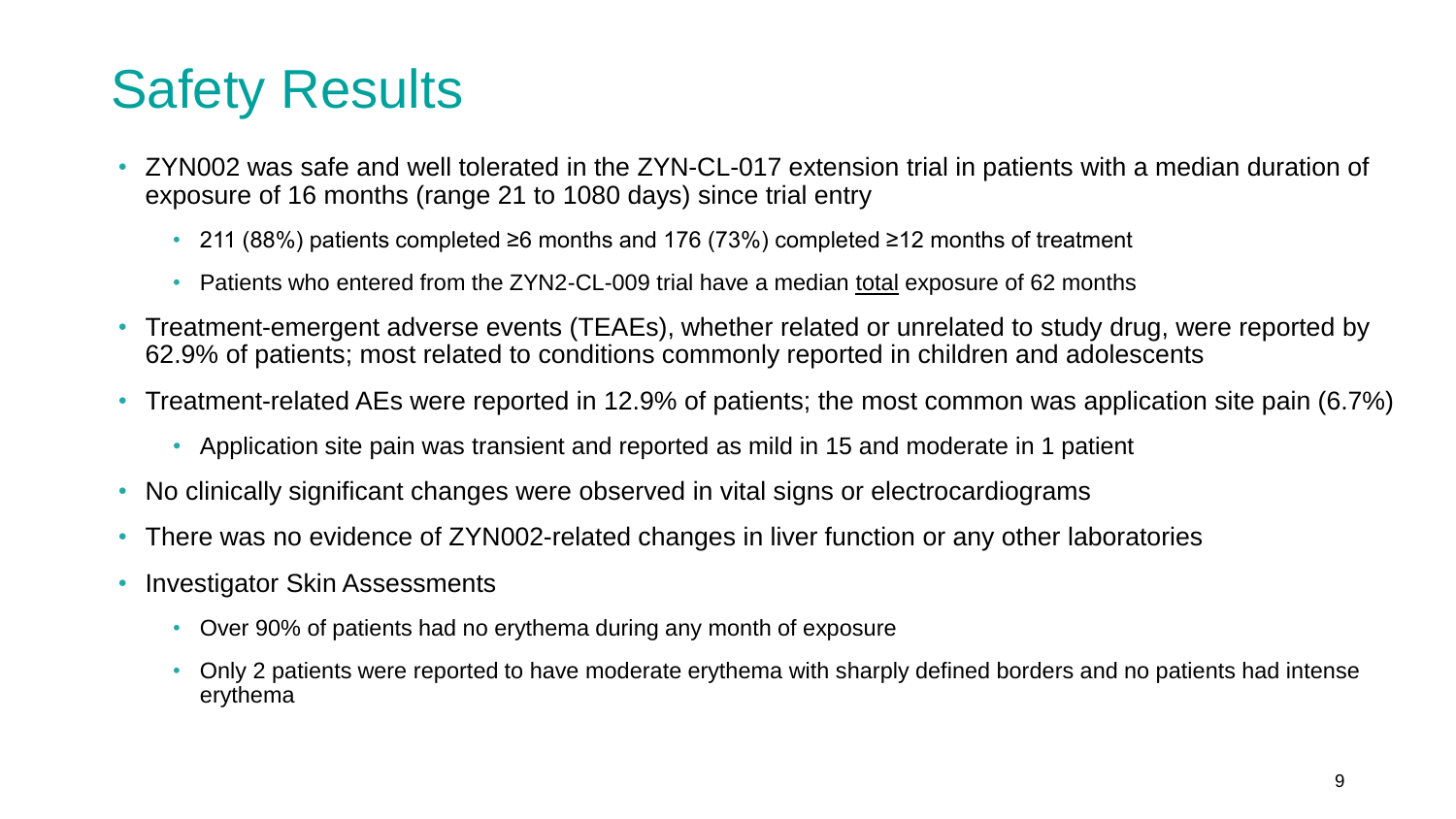### Safety Results

- ZYN002 was safe and well tolerated in the ZYN-CL-017 extension trial in patients with a median duration of exposure of 16 months (range 21 to 1080 days) since trial entry
	- 211 (88%) patients completed ≥6 months and 176 (73%) completed ≥12 months of treatment
	- Patients who entered from the ZYN2-CL-009 trial have a median total exposure of 62 months
- Treatment-emergent adverse events (TEAEs), whether related or unrelated to study drug, were reported by 62.9% of patients; most related to conditions commonly reported in children and adolescents
- Treatment-related AEs were reported in 12.9% of patients; the most common was application site pain (6.7%)
	- Application site pain was transient and reported as mild in 15 and moderate in 1 patient
- No clinically significant changes were observed in vital signs or electrocardiograms
- There was no evidence of ZYN002-related changes in liver function or any other laboratories
- Investigator Skin Assessments
	- Over 90% of patients had no erythema during any month of exposure
	- Only 2 patients were reported to have moderate erythema with sharply defined borders and no patients had intense erythema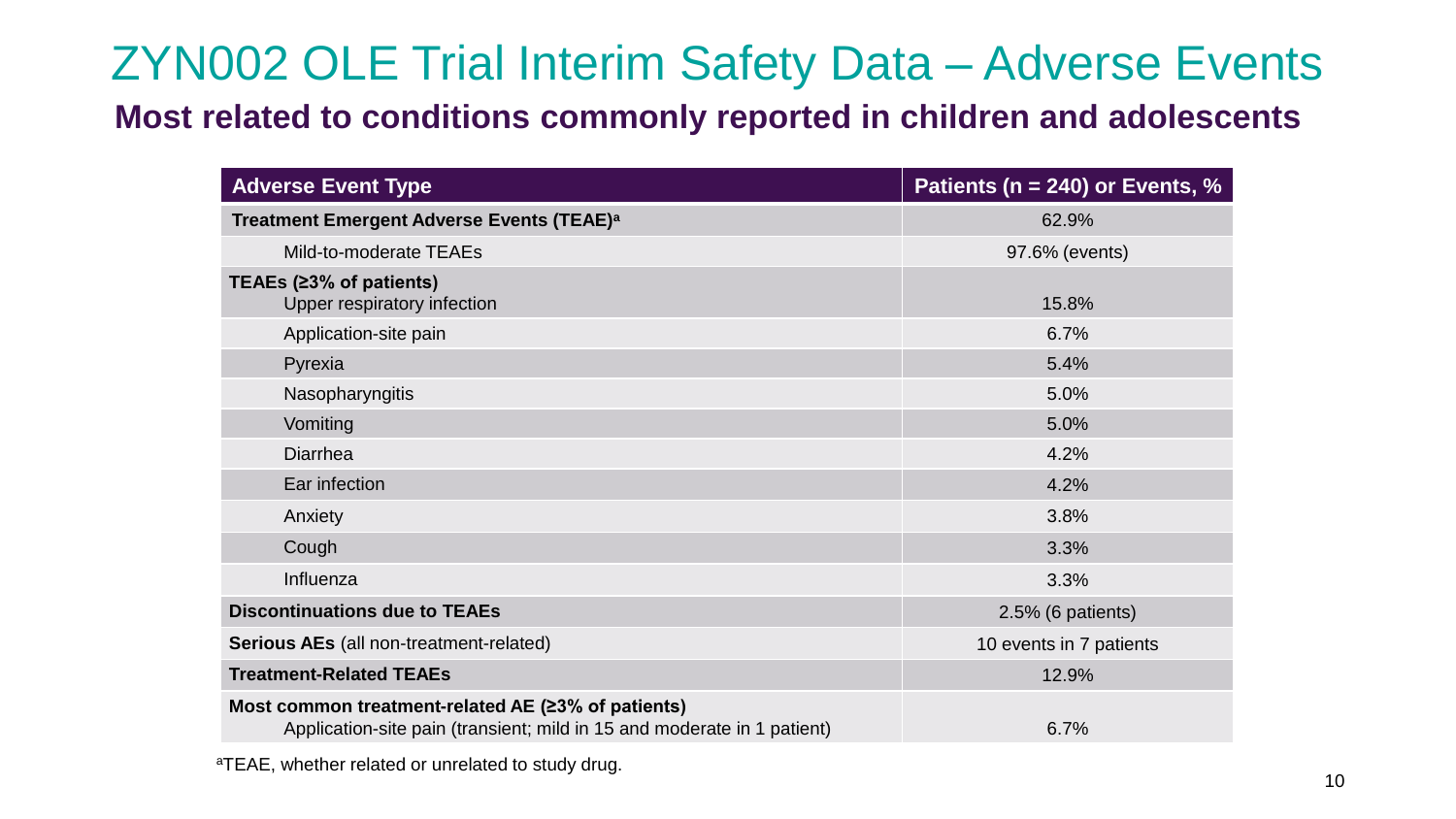#### ZYN002 OLE Trial Interim Safety Data – Adverse Events

#### **Most related to conditions commonly reported in children and adolescents**

| <b>Adverse Event Type</b>                                                                                                     | Patients ( $n = 240$ ) or Events, % |
|-------------------------------------------------------------------------------------------------------------------------------|-------------------------------------|
| Treatment Emergent Adverse Events (TEAE) <sup>a</sup>                                                                         | 62.9%                               |
| Mild-to-moderate TEAEs                                                                                                        | 97.6% (events)                      |
| TEAEs (≥3% of patients)<br>Upper respiratory infection                                                                        | 15.8%                               |
| Application-site pain                                                                                                         | 6.7%                                |
| Pyrexia                                                                                                                       | 5.4%                                |
| Nasopharyngitis                                                                                                               | 5.0%                                |
| Vomiting                                                                                                                      | 5.0%                                |
| Diarrhea                                                                                                                      | 4.2%                                |
| Ear infection                                                                                                                 | 4.2%                                |
| Anxiety                                                                                                                       | 3.8%                                |
| Cough                                                                                                                         | 3.3%                                |
| Influenza                                                                                                                     | 3.3%                                |
| <b>Discontinuations due to TEAEs</b>                                                                                          | $2.5\%$ (6 patients)                |
| <b>Serious AEs</b> (all non-treatment-related)                                                                                | 10 events in 7 patients             |
| <b>Treatment-Related TEAEs</b>                                                                                                | 12.9%                               |
| Most common treatment-related AE (23% of patients)<br>Application-site pain (transient; mild in 15 and moderate in 1 patient) | 6.7%                                |

aTEAE, whether related or unrelated to study drug.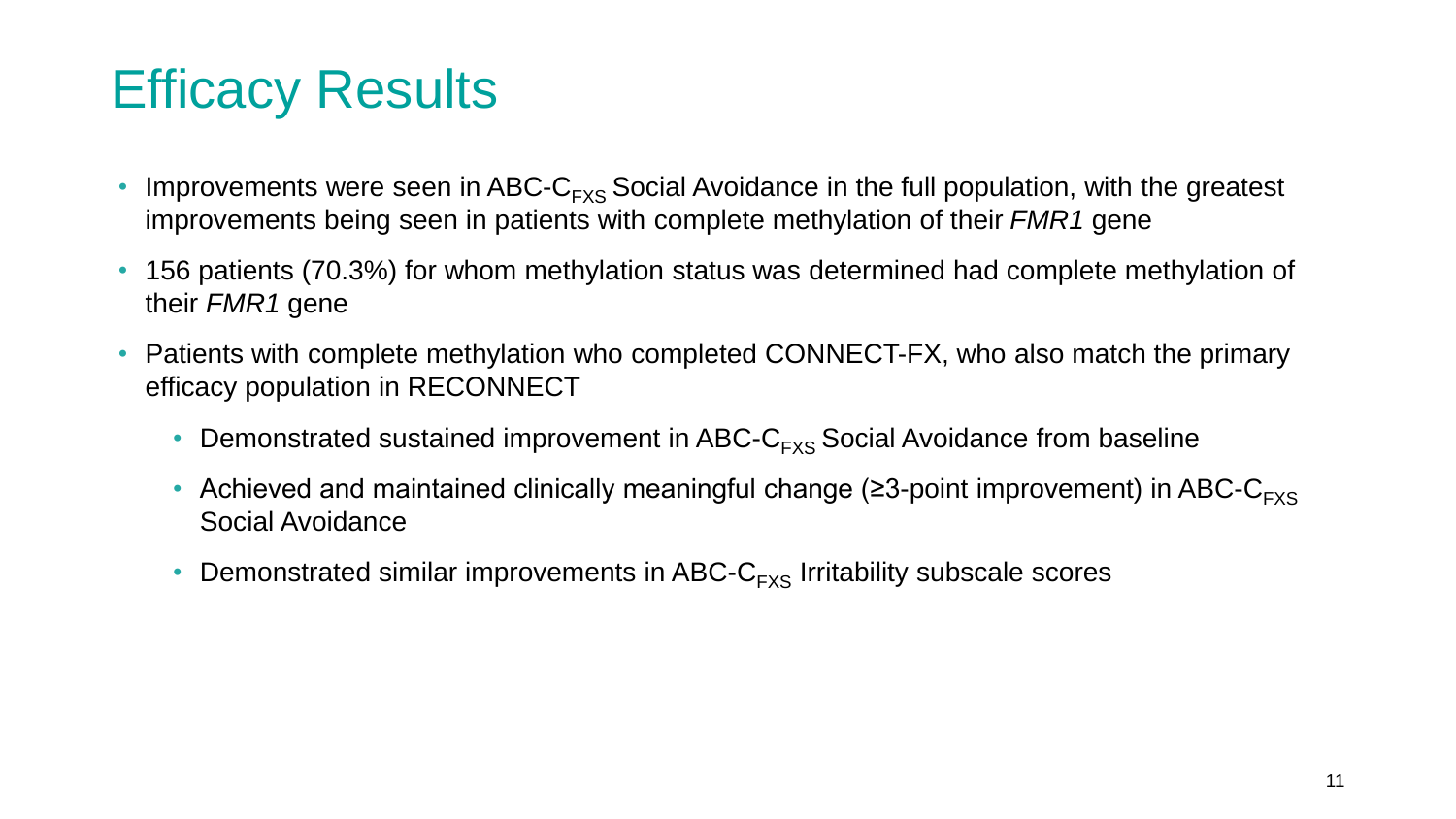#### Efficacy Results

- Improvements were seen in ABC- $C_{FXS}$  Social Avoidance in the full population, with the greatest improvements being seen in patients with complete methylation of their *FMR1* gene
- 156 patients (70.3%) for whom methylation status was determined had complete methylation of their *FMR1* gene
- Patients with complete methylation who completed CONNECT-FX, who also match the primary efficacy population in RECONNECT
	- Demonstrated sustained improvement in ABC- $C_{FXS}$  Social Avoidance from baseline
	- Achieved and maintained clinically meaningful change ( $\geq$ 3-point improvement) in ABC-C $_{\text{FXSS}}$ Social Avoidance
	- Demonstrated similar improvements in ABC- $C_{FXS}$  Irritability subscale scores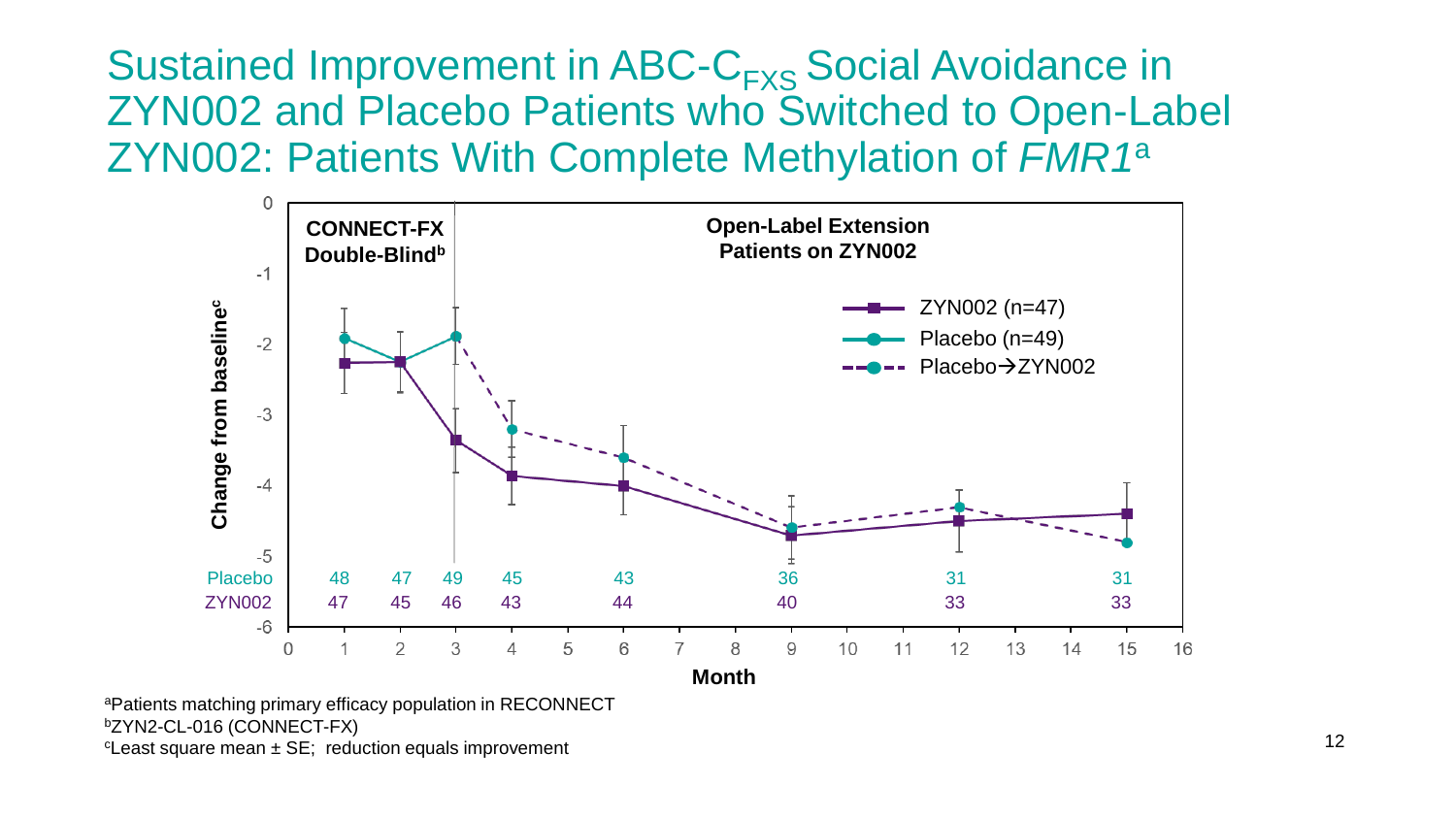Sustained Improvement in ABC-C<sub>FXS</sub> Social Avoidance in ZYN002 and Placebo Patients who Switched to Open-Label ZYN002: Patients With Complete Methylation of *FMR1*<sup>a</sup>



<sup>a</sup>Patients matching primary efficacy population in RECONNECT <sup>b</sup>ZYN2-CL-016 (CONNECT-FX)  $c$ Least square mean  $\pm$  SE; reduction equals improvement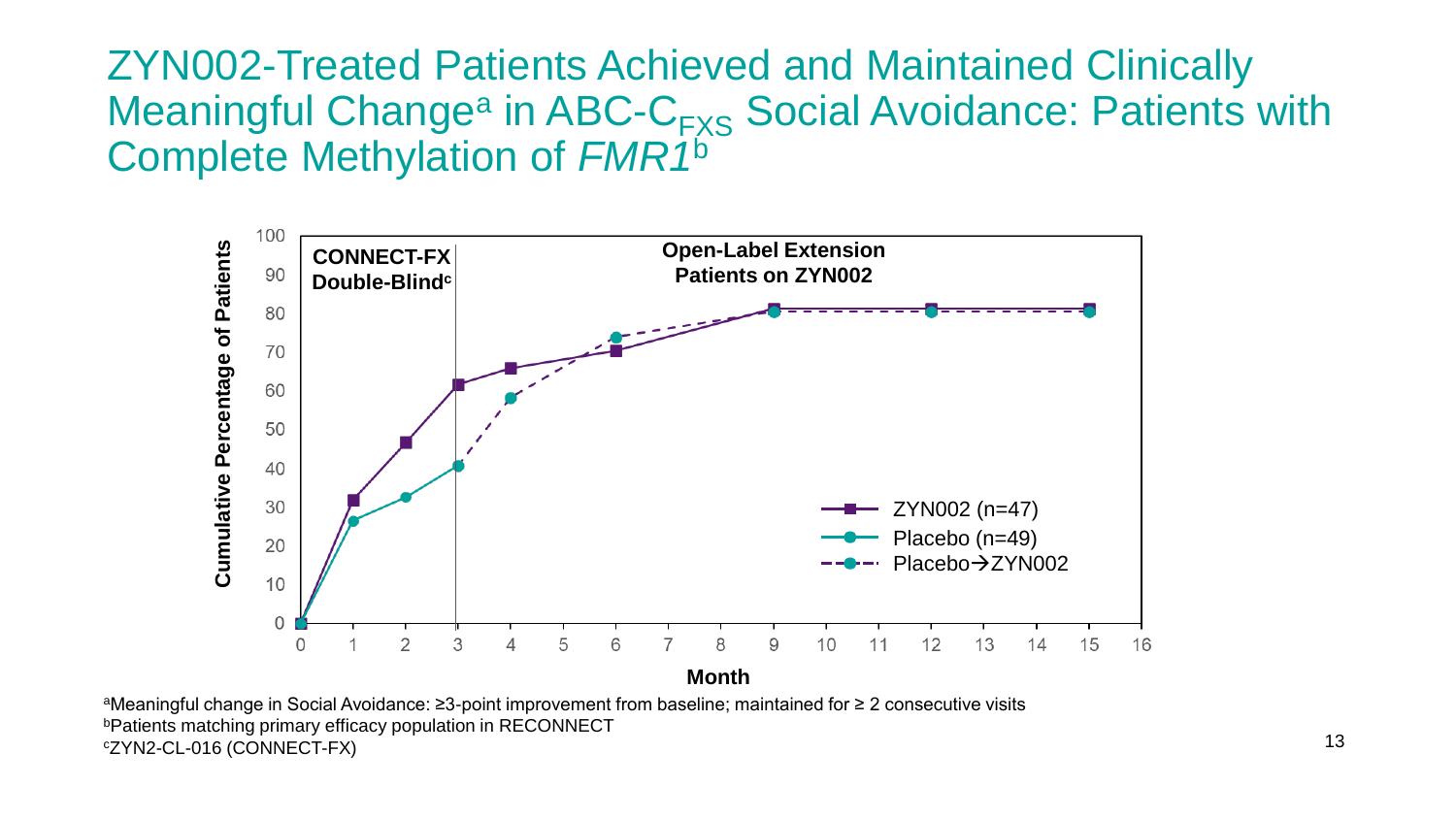ZYN002-Treated Patients Achieved and Maintained Clinically Meaningful Change<sup>a</sup> in ABC-C<sub>FXS</sub> Social Avoidance: Patients with Complete Methylation of *FMR1*<sup>b</sup>



<sup>a</sup>Meaningful change in Social Avoidance: ≥3-point improvement from baseline; maintained for ≥ 2 consecutive visits <sup>b</sup>Patients matching primary efficacy population in RECONNECT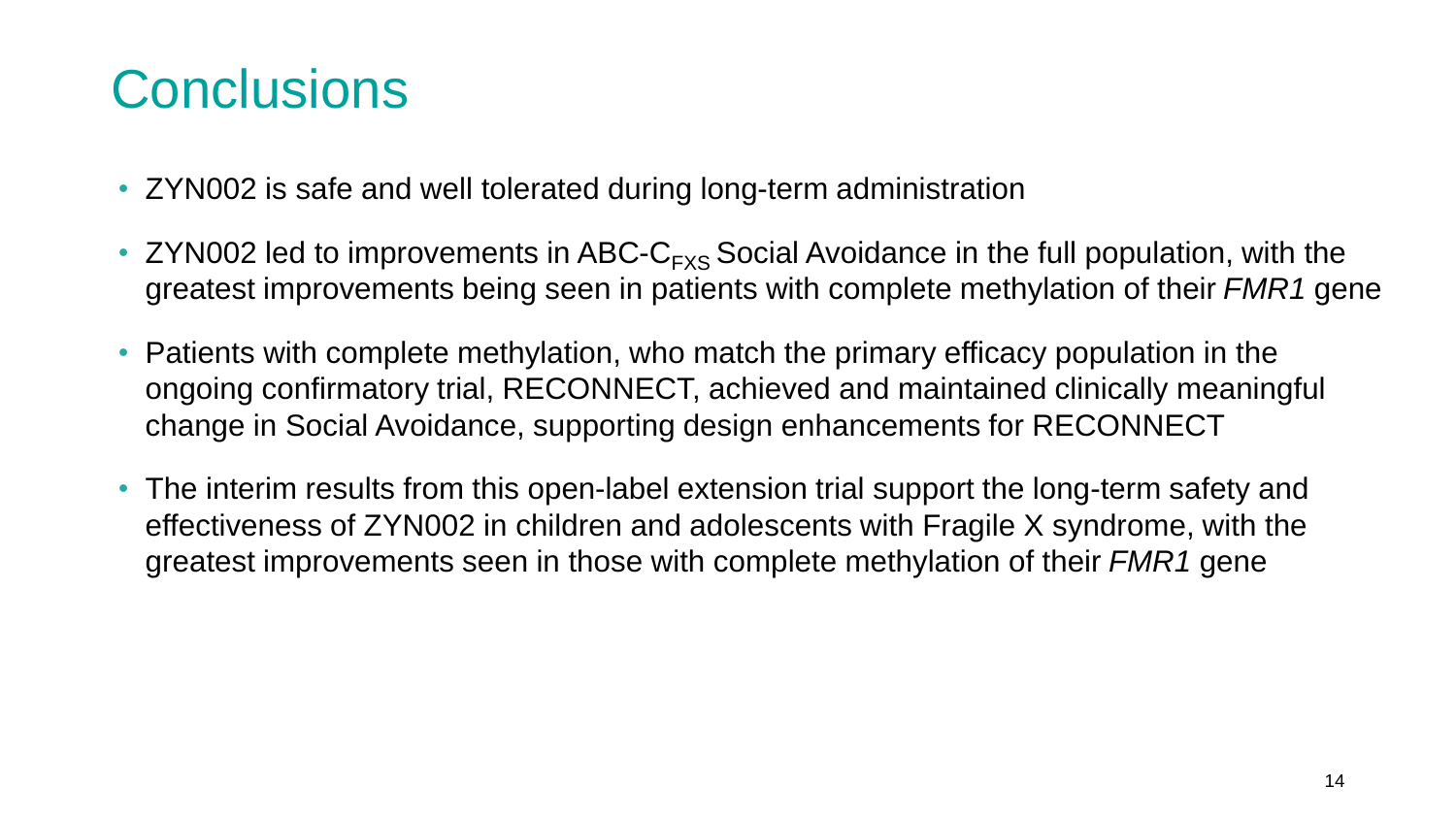#### **Conclusions**

- ZYN002 is safe and well tolerated during long-term administration
- ZYN002 led to improvements in ABC-C $_{FXS}$  Social Avoidance in the full population, with the greatest improvements being seen in patients with complete methylation of their *FMR1* gene
- Patients with complete methylation, who match the primary efficacy population in the ongoing confirmatory trial, RECONNECT, achieved and maintained clinically meaningful change in Social Avoidance, supporting design enhancements for RECONNECT
- The interim results from this open-label extension trial support the long-term safety and effectiveness of ZYN002 in children and adolescents with Fragile X syndrome, with the greatest improvements seen in those with complete methylation of their *FMR1* gene